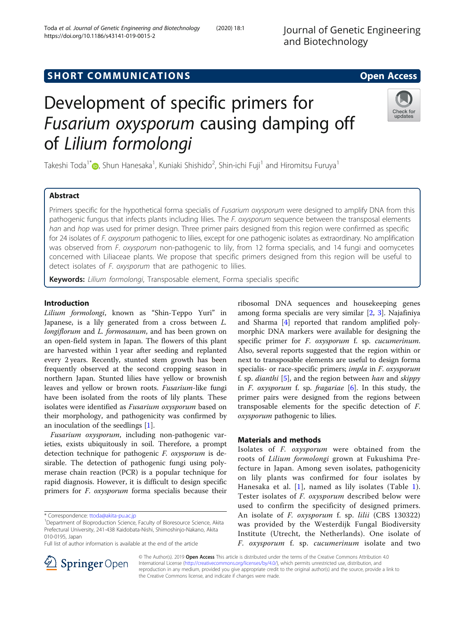## **SHORT COMMUNICATIONS SHORT COMMUNICATIONS**

# Development of specific primers for Fusarium oxysporum causing damping off of Lilium formolongi

Takeshi Toda<sup>1\*</sup> $\bullet$ , Shun Hanesaka<sup>1</sup>, Kuniaki Shishido<sup>2</sup>, Shin-ichi Fuji<sup>1</sup> and Hiromitsu Furuya<sup>1</sup>

## Abstract

Primers specific for the hypothetical forma specialis of *Fusarium oxysporum* were designed to amplify DNA from this pathogenic fungus that infects plants including lilies. The F. oxysporum sequence between the transposal elements han and hop was used for primer design. Three primer pairs designed from this region were confirmed as specific for 24 isolates of F. oxysporum pathogenic to lilies, except for one pathogenic isolates as extraordinary. No amplification was observed from F. oxysporum non-pathogenic to lily, from 12 forma specialis, and 14 fungi and oomycetes concerned with Liliaceae plants. We propose that specific primers designed from this region will be useful to detect isolates of F. oxysporum that are pathogenic to lilies.

Keywords: Lilium formolongi, Transposable element, Forma specialis specific

### Introduction

Lilium formolongi, known as "Shin-Teppo Yuri" in Japanese, is a lily generated from a cross between L. longiflorum and L. formosanum, and has been grown on an open-field system in Japan. The flowers of this plant are harvested within 1 year after seeding and replanted every 2 years. Recently, stunted stem growth has been frequently observed at the second cropping season in northern Japan. Stunted lilies have yellow or brownish leaves and yellow or brown roots. Fusarium-like fungi have been isolated from the roots of lily plants. These isolates were identified as Fusarium oxysporum based on their morphology, and pathogenicity was confirmed by an inoculation of the seedlings [\[1\]](#page-5-0).

Fusarium oxysporum, including non-pathogenic varieties, exists ubiquitously in soil. Therefore, a prompt detection technique for pathogenic F. oxysporum is desirable. The detection of pathogenic fungi using polymerase chain reaction (PCR) is a popular technique for rapid diagnosis. However, it is difficult to design specific primers for F. oxysporum forma specialis because their

\* Correspondence: [ttoda@akita-pu.ac.jp](mailto:ttoda@akita-pu.ac.jp) <sup>1</sup>

Full list of author information is available at the end of the article

ribosomal DNA sequences and housekeeping genes among forma specialis are very similar [[2,](#page-5-0) [3\]](#page-5-0). Najafiniya and Sharma [[4\]](#page-5-0) reported that random amplified polymorphic DNA markers were available for designing the specific primer for F. oxysporum f. sp. cucumerinum. Also, several reports suggested that the region within or next to transposable elements are useful to design forma specialis- or race-specific primers; *impla* in *F. oxysporum* f. sp. *dianthi* [\[5\]](#page-5-0), and the region between *han* and *skippy* in F. oxysporum f. sp. fragariae [[6\]](#page-5-0). In this study, the primer pairs were designed from the regions between transposable elements for the specific detection of F. oxysporum pathogenic to lilies.

## Materials and methods

Isolates of F. oxysporum were obtained from the roots of Lilium formolongi grown at Fukushima Prefecture in Japan. Among seven isolates, pathogenicity on lily plants was confirmed for four isolates by Hanesaka et al. [[1\]](#page-5-0), named as lily isolates (Table [1](#page-1-0)). Tester isolates of F. oxysporum described below were used to confirm the specificity of designed primers. An isolate of *F. oxysporum* f. sp. lilii (CBS 130322) was provided by the Westerdijk Fungal Biodiversity Institute (Utrecht, the Netherlands). One isolate of F. oxysporum f. sp. cucumerinum isolate and two

© The Author(s). 2019 Open Access This article is distributed under the terms of the Creative Commons Attribution 4.0 International License ([http://creativecommons.org/licenses/by/4.0/\)](http://creativecommons.org/licenses/by/4.0/), which permits unrestricted use, distribution, and reproduction in any medium, provided you give appropriate credit to the original author(s) and the source, provide a link to the Creative Commons license, and indicate if changes were made.





<sup>&</sup>lt;sup>1</sup>Department of Bioproduction Science, Faculty of Bioresource Science, Akita Prefectural University, 241-438 Kaidobata-Nishi, Shimoshinjo-Nakano, Akita 010-0195, Japan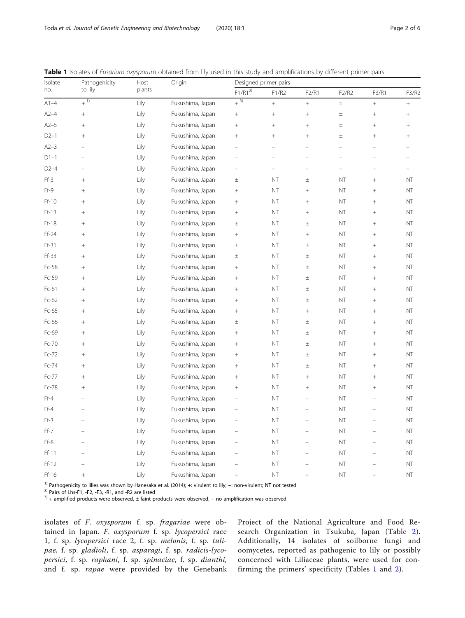| Isolate | Pathogenicity            | Host   | Origin           | Designed primer pairs    |                          |                          |                          |                          |                          |  |  |
|---------|--------------------------|--------|------------------|--------------------------|--------------------------|--------------------------|--------------------------|--------------------------|--------------------------|--|--|
| no.     | to lily                  | plants |                  | $F1/R1^{2)}$             | F1/R2                    | F2/R1                    | F2/R2                    | F3/R1                    | F3/R2                    |  |  |
| $A1-4$  | $+\overline{1)}$         | Lily   | Fukushima, Japan | $+\overline{3)}$         | $\ddot{}$                | $^{+}$                   | $\pm$                    | $\! +$                   | $^{+}$                   |  |  |
| $A2-4$  | $^{+}$                   | Lily   | Fukushima, Japan | $\boldsymbol{+}$         | $^{+}$                   | $\boldsymbol{+}$         | $\pm$                    | $\! +$                   | $^{+}$                   |  |  |
| $A2-5$  | $^{+}$                   | Lily   | Fukushima, Japan | $^{+}$                   | $^{+}$                   | $^{+}$                   | $\pm$                    | $^{+}$                   | $^{+}$                   |  |  |
| $D2-1$  | $^{+}$                   | Lily   | Fukushima, Japan | $^{+}$                   | $^{+}$                   | $^{+}$                   | $\pm$                    | $^{+}$                   | $\! + \!$                |  |  |
| $A2-3$  | $\overline{\phantom{0}}$ | Lily   | Fukushima, Japan | ÷                        | $\overline{\phantom{0}}$ | $\equiv$                 | $\equiv$                 | $\equiv$                 |                          |  |  |
| $D1-1$  | L,                       | Lily   | Fukushima, Japan | ÷                        | $\overline{\phantom{0}}$ | $\equiv$                 | $\overline{\phantom{0}}$ |                          | $\overline{\phantom{0}}$ |  |  |
| $D2-4$  |                          | Lily   | Fukushima, Japan | $\overline{a}$           | $\overline{a}$           | $\equiv$                 | $\equiv$                 | $\equiv$                 | $\equiv$                 |  |  |
| Ff-3    | $\! + \!$                | Lily   | Fukushima, Japan | $\pm$                    | <b>NT</b>                | $\pm$                    | NT                       | $\! + \!$                | NT                       |  |  |
| Ff-9    | $^{+}$                   | Lily   | Fukushima, Japan | $\! + \!$                | <b>NT</b>                |                          | NT                       | $^{+}$                   | NT                       |  |  |
| Ff-10   | $^{+}$                   | Lily   | Fukushima, Japan | $^+$                     | <b>NT</b>                | $\! + \!$                | NT                       | $^{+}$                   | NT                       |  |  |
| $Ff-13$ | $^{+}$                   | Lily   | Fukushima, Japan | $^+$                     | NT                       | $+$                      | NT                       | $\ddot{}$                | NT                       |  |  |
| Ff-18   | $\! + \!$                | Lily   | Fukushima, Japan | $\pm$                    | NT                       | $\pm$                    | NT                       | $^{+}$                   | NT                       |  |  |
| $Ff-24$ | $^{+}$                   | Lily   | Fukushima, Japan | $\! + \!$                | NT                       |                          | NT                       | $\ddot{}$                | NT                       |  |  |
| Ff-31   | $^{+}$                   | Lily   | Fukushima, Japan | $\pm$                    | NT                       | $\pm$                    | NT                       | $^{+}$                   | NT                       |  |  |
| Ff-33   | $^{+}$                   | Lily   | Fukushima, Japan | $\pm$                    | NT                       | $\pm$                    | NT                       | $^{+}$                   | NT                       |  |  |
| Fc-58   | $^{+}$                   | Lily   | Fukushima, Japan | $+$                      | <b>NT</b>                | $\pm$                    | <b>NT</b>                | $^{+}$                   | NT                       |  |  |
| Fc-59   | $^{+}$                   | Lily   | Fukushima, Japan | $^+$                     | <b>NT</b>                | $\pm$                    | <b>NT</b>                | $^{+}$                   | NT                       |  |  |
| Fc-61   | $^{+}$                   | Lily   | Fukushima, Japan | $^+$                     | <b>NT</b>                | $\pm$                    | NT                       | $+$                      | NT                       |  |  |
| Fc-62   | $\! + \!$                | Lily   | Fukushima, Japan | $^+$                     | <b>NT</b>                | $\pm$                    | NT                       | $\! +$                   | NT                       |  |  |
| Fc-65   | $\! + \!$                | Lily   | Fukushima, Japan | $^+$                     | <b>NT</b>                | $\boldsymbol{+}$         | NT                       | $\! +$                   | NT                       |  |  |
| Fc-66   | $\! + \!$                | Lily   | Fukushima, Japan | $\pm$                    | <b>NT</b>                | $\pm$                    | NT                       | $\! + \!\!\!\!$          | NT                       |  |  |
| Fc-69   | $^{+}$                   | Lily   | Fukushima, Japan | $\! + \!$                | NT                       | $\pm$                    | NT                       | $^{+}$                   | NT                       |  |  |
| Fc-70   | $^{+}$                   | Lily   | Fukushima, Japan | $^+$                     | NT                       | $\pm$                    | NT                       | $^{+}$                   | NT                       |  |  |
| Fc-72   | $\! + \!$                | Lily   | Fukushima, Japan | $^+$                     | NT                       | $\pm$                    | NT                       | $\ddot{}$                | NT                       |  |  |
| Fc-74   | $\! + \!$                | Lily   | Fukushima, Japan | $\! + \!\!\!\!$          | <b>NT</b>                | $\pm$                    | <b>NT</b>                | $^{+}$                   | NT                       |  |  |
| Fc-77   | $\! +$                   | Lily   | Fukushima, Japan | $\! + \!\!\!\!$          | <b>NT</b>                | $\! + \!$                | NT                       | $^{+}$                   | NT                       |  |  |
| Fc-78   | $^{+}$                   | Lily   | Fukushima, Japan | $+$                      | <b>NT</b>                | $\! + \!$                | <b>NT</b>                | $\! + \!$                | NT                       |  |  |
| $Ff-4$  | $\overline{\phantom{0}}$ | Lily   | Fukushima, Japan | $\qquad \qquad -$        | <b>NT</b>                |                          | NT                       | $\qquad \qquad -$        | NT                       |  |  |
| $Ff-4$  | $\equiv$                 | Lily   | Fukushima, Japan | $\qquad \qquad -$        | NT                       | $\overline{\phantom{0}}$ | <b>NT</b>                | $\equiv$                 | NT                       |  |  |
| Ff-3    | $\overline{\phantom{0}}$ | Lily   | Fukushima, Japan | $\overline{\phantom{0}}$ | <b>NT</b>                | $\equiv$                 | <b>NT</b>                | $\equiv$                 | NT                       |  |  |
| Ff-7    | $\overline{a}$           | Lily   | Fukushima, Japan | $\overline{a}$           | <b>NT</b>                | $\equiv$                 | NT                       | ÷                        | NT                       |  |  |
| Ff-8    | $\overline{a}$           | Lily   | Fukushima, Japan | $\overline{\phantom{0}}$ | <b>NT</b>                | $\overline{\phantom{m}}$ | NT                       | $\equiv$                 | NT                       |  |  |
| Ff-11   | L.                       | Lily   | Fukushima, Japan |                          | <b>NT</b>                |                          | NT                       | $\equiv$                 | NT                       |  |  |
| $Ff-12$ |                          | Lily   | Fukushima, Japan |                          | NT                       |                          | <b>NT</b>                |                          | NT                       |  |  |
| Ff-16   | $^{+}$                   | Lily   | Fukushima, Japan | $\overline{\phantom{0}}$ | NT                       | $\overline{\phantom{0}}$ | NT                       | $\overline{\phantom{0}}$ | NT                       |  |  |

<span id="page-1-0"></span>Table 1 Isolates of Fusarium oxysporum obtained from lily used in this study and amplifications by different primer pairs

<sup>1)</sup> Pathogenicity to lilies was shown by Hanesaka et al. (2014); +: virulent to lily; -: non-virulent; NT not tested <sup>2)</sup> Pairs of Lhs-F1, -F2, -F3, -R1, and -R2 are listed<br><sup>2)</sup> Pairs of Lhs-F1, -F2, -F3, -R1, and -R2 ar

isolates of F. oxysporum f. sp. fragariae were obtained in Japan. F. oxysporum f. sp. lycopersici race 1, f. sp. lycopersici race 2, f. sp. melonis, f. sp. tulipae, f. sp. gladioli, f. sp. asparagi, f. sp. radicis-lycopersici, f. sp. raphani, f. sp. spinaciae, f. sp. dianthi, and f. sp. rapae were provided by the Genebank Project of the National Agriculture and Food Research Organization in Tsukuba, Japan (Table [2](#page-2-0)). Additionally, 14 isolates of soilborne fungi and oomycetes, reported as pathogenic to lily or possibly concerned with Liliaceae plants, were used for confirming the primers' specificity (Tables 1 and [2](#page-2-0)).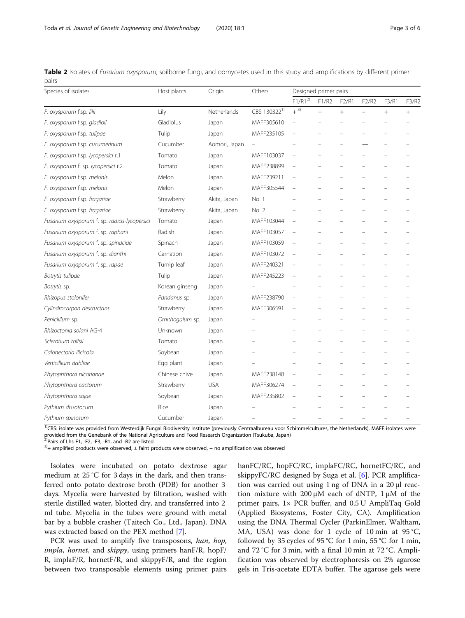<span id="page-2-0"></span>

|       | Table 2 Isolates of Fusarium oxysporum, soilborne fungi, and oomycetes used in this study and amplifications by different primer |  |  |  |  |  |  |
|-------|----------------------------------------------------------------------------------------------------------------------------------|--|--|--|--|--|--|
| pairs |                                                                                                                                  |  |  |  |  |  |  |

| Species of isolates                            | Host plants      | Origin        | Others                   | Designed primer pairs |        |        |                          |        |        |
|------------------------------------------------|------------------|---------------|--------------------------|-----------------------|--------|--------|--------------------------|--------|--------|
|                                                |                  |               |                          | $F1/R1^{2}$           | F1/R2  | F2/R1  | F2/R2                    | F3/R1  | F3/R2  |
| F. oxysporum f.sp. lilii                       | Lily             | Netherlands   | CBS 130322 <sup>1)</sup> | $+{}^{3)}$            | $^{+}$ | $^{+}$ | $\overline{\phantom{0}}$ | $^{+}$ | $^{+}$ |
| Gladiolus<br>F. oxysporum f.sp. gladioli       |                  | Japan         | MAFF305610               |                       |        |        |                          |        |        |
| F. oxysporum f.sp. tulipae                     | Tulip            | Japan         | MAFF235105               |                       |        |        |                          |        |        |
| F. oxysporum f.sp. cucumerinum                 | Cucumber         | Aomori, Japan | $\overline{\phantom{0}}$ |                       |        |        |                          |        |        |
| F. oxysporum f.sp. lycopersici r.1             | Tomato           | Japan         | MAFF103037               |                       |        |        |                          |        |        |
| F. oxysporum f. sp. lycopersici r.2            | Tomato           | Japan         | MAFF238899               |                       |        |        |                          |        |        |
| F. oxysporum f.sp. melonis                     | Melon            | Japan         | MAFF239211               |                       |        |        |                          |        |        |
| F. oxysporum f.sp. melonis                     | Melon            | Japan         | MAFF305544               |                       |        |        |                          |        |        |
| F. oxysporum f.sp. fragariae                   | Strawberry       | Akita, Japan  | No. 1                    |                       |        |        |                          |        |        |
| F. oxysporum f.sp. fragariae                   | Strawberry       | Akita, Japan  | No. 2                    |                       |        |        |                          |        |        |
| Fusarium oxysporum f. sp. radicis-lycopersici  | Tomato           | Japan         | MAFF103044               |                       |        |        |                          |        |        |
| Fusarium oxysporum f. sp. raphani              | Radish           | Japan         | MAFF103057               |                       |        |        |                          |        |        |
| Fusarium oxysporum f. sp. spinaciae            | Spinach          | Japan         | MAFF103059               |                       |        |        |                          |        |        |
| Fusarium oxysporum f. sp. dianthi<br>Carnation |                  | Japan         | MAFF103072               |                       |        |        |                          |        |        |
| Fusarium oxysporum f. sp. rapae<br>Turnip leaf |                  | Japan         | MAFF240321               |                       |        |        |                          |        |        |
| Botrytis tulipae                               | Tulip            | Japan         | MAFF245223               |                       |        |        |                          |        |        |
| Botrytis sp.                                   | Korean ginseng   | Japan         |                          |                       |        |        |                          |        |        |
| Rhizopus stolonifer                            | Pandanus sp.     | Japan         | MAFF238790               |                       |        |        |                          |        |        |
| Cylindrocarpon destructans                     | Strawberry       | Japan         | MAFF306591               |                       |        |        |                          |        |        |
| Penicillium sp.                                | Ornithogalum sp. | Japan         |                          |                       |        |        |                          |        |        |
| Rhizoctonia solani AG-4                        | Unknown          | Japan         |                          |                       |        |        |                          |        |        |
| Sclerotium rolfsii                             | Tomato           | Japan         |                          |                       |        |        |                          |        |        |
| Calonectoria ilicicola                         | Soybean          | Japan         |                          |                       |        |        |                          |        |        |
| Verticillium dahliae                           | Egg plant        | Japan         |                          |                       |        |        |                          |        |        |
| Phytophthora nicotianae                        | Chinese chive    | Japan         | MAFF238148               |                       |        |        |                          |        |        |
| Phytophthora cactorum                          | Strawberry       | <b>USA</b>    | MAFF306274               |                       |        |        |                          |        |        |
| Soybean<br>Phytophthora sojae                  |                  | Japan         | MAFF235802               |                       |        |        |                          |        |        |
| Pythium dissotocum                             | Rice             | Japan         |                          |                       |        |        |                          |        |        |
| Pythium spinosum                               | Cucumber         | Japan         |                          |                       |        |        |                          |        |        |

<sup>1)</sup>CBS: isolate was provided from Westerdijk Fungal Biodiversity Institute (previously Centraalbureau voor Schimmelcultures, the Netherlands). MAFF isolates were provided from the Genebank of the National Agriculture and Food Research Organization (Tsukuba, Japan)

 $^{2)}$ Pairs of Lhs-F1, -F2, -F3, -R1, and -R2 are listed

 $3$ <sup>1</sup>+ amplified products were observed,  $\pm$  faint products were observed, – no amplification was observed

Isolates were incubated on potato dextrose agar medium at 25 °C for 3 days in the dark, and then transferred onto potato dextrose broth (PDB) for another 3 days. Mycelia were harvested by filtration, washed with sterile distilled water, blotted dry, and transferred into 2 ml tube. Mycelia in the tubes were ground with metal bar by a bubble crasher (Taitech Co., Ltd., Japan). DNA was extracted based on the PEX method [[7\]](#page-5-0).

PCR was used to amplify five transposons, han, hop, impla, hornet, and skippy, using primers hanF/R, hopF/ R, implaF/R, hornetF/R, and skippyF/R, and the region between two transposable elements using primer pairs hanFC/RC, hopFC/RC, implaFC/RC, hornetFC/RC, and skippyFC/RC designed by Suga et al. [[6\]](#page-5-0). PCR amplification was carried out using 1 ng of DNA in a 20 μl reaction mixture with 200 μM each of dNTP,  $1$  μM of the primer pairs, 1× PCR buffer, and 0.5 U AmpliTaq Gold (Applied Biosystems, Foster City, CA). Amplification using the DNA Thermal Cycler (ParkinElmer, Waltham, MA, USA) was done for 1 cycle of 10 min at 95 °C, followed by 35 cycles of 95 °C for 1 min, 55 °C for 1 min, and 72 °C for 3 min, with a final 10 min at 72 °C. Amplification was observed by electrophoresis on 2% agarose gels in Tris-acetate EDTA buffer. The agarose gels were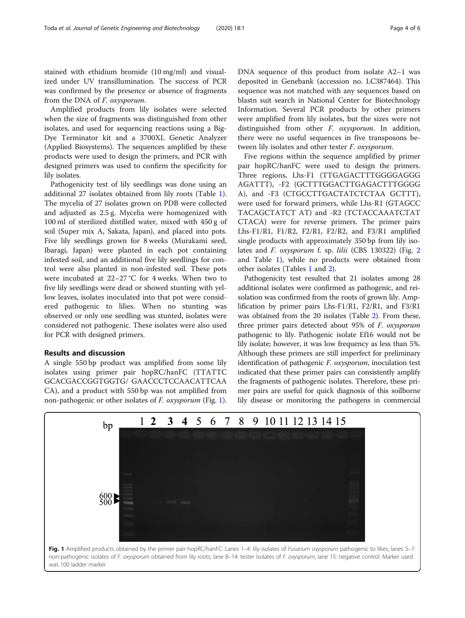stained with ethidium bromide (10 mg/ml) and visualized under UV transillumination. The success of PCR was confirmed by the presence or absence of fragments from the DNA of F. oxysporum.

Amplified products from lily isolates were selected when the size of fragments was distinguished from other isolates, and used for sequencing reactions using a Big-Dye Terminator kit and a 3700XL Genetic Analyzer (Applied Biosystems). The sequences amplified by these products were used to design the primers, and PCR with designed primers was used to confirm the specificity for lily isolates.

Pathogenicity test of lily seedlings was done using an additional 27 isolates obtained from lily roots (Table [1](#page-1-0)). The mycelia of 27 isolates grown on PDB were collected and adjusted as 2.5 g. Mycelia were homogenized with 100 ml of sterilized distilled water, mixed with 450 g of soil (Super mix A, Sakata, Japan), and placed into pots. Five lily seedlings grown for 8 weeks (Murakami seed, Ibaragi, Japan) were planted in each pot containing infested soil, and an additional five lily seedlings for control were also planted in non-infested soil. These pots were incubated at 22–27 °C for 4 weeks. When two to five lily seedlings were dead or showed stunting with yellow leaves, isolates inoculated into that pot were considered pathogenic to lilies. When no stunting was observed or only one seedling was stunted, isolates were considered not pathogenic. These isolates were also used for PCR with designed primers.

## Results and discussion

A single 550 bp product was amplified from some lily isolates using primer pair hopRC/hanFC (TTATTC GCACGACCGGTGGTG/ GAACCCTCCAACATTCAA CA), and a product with 550 bp was not amplified from non-pathogenic or other isolates of *F. oxysporum* (Fig. 1). DNA sequence of this product from isolate A2–1 was deposited in Genebank (accession no. LC387464). This sequence was not matched with any sequences based on blastn suit search in National Center for Biotechnology Information. Several PCR products by other primers were amplified from lily isolates, but the sizes were not distinguished from other F. oxysporum. In addition, there were no useful sequences in five transposons between lily isolates and other tester F. oxysporum.

Five regions within the sequence amplified by primer pair hopRC/hanFC were used to design the primers. Three regions, Lhs-F1 (TTGAGACTTTGGGGAGGG AGATTT), -F2 (GCTTTGGACTTGAGACTTTGGGG A), and -F3 (CTGCCTTGACTATCTCTAA GCTTT), were used for forward primers, while Lhs-R1 (GTAGCC TACAGCTATCT AT) and -R2 (TCTACCAAATCTAT CTACA) were for reverse primers. The primer pairs Lhs-F1/R1, F1/R2, F2/R1, F2/R2, and F3/R1 amplified single products with approximately 350 bp from lily iso-lates and F. oxysporum f. sp. lilii (CBS 1303[2](#page-4-0)2) (Fig. 2 and Table [1](#page-1-0)), while no products were obtained from other isolates (Tables [1](#page-1-0) and [2\)](#page-2-0).

Pathogenicity test resulted that 21 isolates among 28 additional isolates were confirmed as pathogenic, and reisolation was confirmed from the roots of grown lily. Amplification by primer pairs Lhs-F1/R1, F2/R1, and F3/R1 was obtained from the 20 isolates (Table [2](#page-2-0)). From these, three primer pairs detected about 95% of F. oxysporum pathogenic to lily. Pathogenic isolate Ef16 would not be lily isolate; however, it was low frequency as less than 5%. Although these primers are still imperfect for preliminary identification of pathogenic F. oxysporum, inoculation test indicated that these primer pairs can consistently amplify the fragments of pathogenic isolates. Therefore, these primer pairs are useful for quick diagnosis of this soilborne lily disease or monitoring the pathogens in commercial

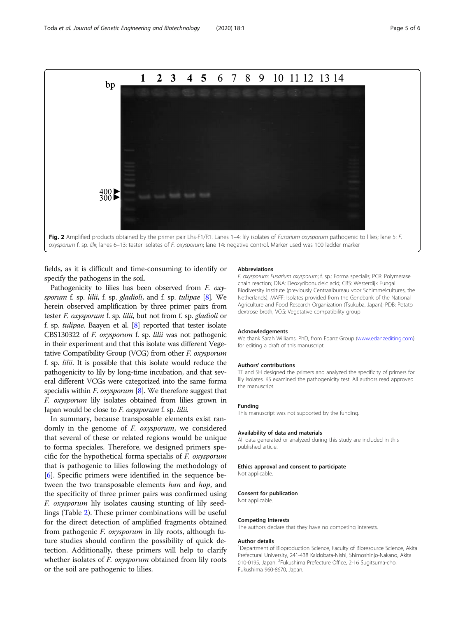<span id="page-4-0"></span>

fields, as it is difficult and time-consuming to identify or specify the pathogens in the soil.

Pathogenicity to lilies has been observed from *F. oxy*-sporum f. sp. lilii, f. sp. gladioli, and f. sp. tulipae [\[8\]](#page-5-0). We herein observed amplification by three primer pairs from tester F. oxysporum f. sp. lilii, but not from f. sp. gladioli or f. sp. tulipae. Baayen et al.  $[8]$  $[8]$  $[8]$  reported that tester isolate CBS130322 of F. oxysporum f. sp. lilii was not pathogenic in their experiment and that this isolate was different Vegetative Compatibility Group (VCG) from other F. oxysporum f. sp. lilii. It is possible that this isolate would reduce the pathogenicity to lily by long-time incubation, and that several different VCGs were categorized into the same forma specialis within  $F$ . oxysporum [[8](#page-5-0)]. We therefore suggest that F. oxysporum lily isolates obtained from lilies grown in Japan would be close to  $F$ . oxysporum f. sp. lilii.

In summary, because transposable elements exist randomly in the genome of *F. oxysporum*, we considered that several of these or related regions would be unique to forma speciales. Therefore, we designed primers specific for the hypothetical forma specialis of F. oxysporum that is pathogenic to lilies following the methodology of [[6\]](#page-5-0). Specific primers were identified in the sequence between the two transposable elements han and hop, and the specificity of three primer pairs was confirmed using F. oxysporum lily isolates causing stunting of lily seedlings (Table [2](#page-2-0)). These primer combinations will be useful for the direct detection of amplified fragments obtained from pathogenic F. oxysporum in lily roots, although future studies should confirm the possibility of quick detection. Additionally, these primers will help to clarify whether isolates of *F. oxysporum* obtained from lily roots or the soil are pathogenic to lilies.

#### Abbreviations

F. oxysporum: Fusarium oxysporum; f. sp.: Forma specialis; PCR: Polymerase chain reaction; DNA: Deoxyribonucleic acid; CBS: Westerdijk Fungal Biodiversity Institute (previously Centraalbureau voor Schimmelcultures, the Netherlands); MAFF: Isolates provided from the Genebank of the National Agriculture and Food Research Organization (Tsukuba, Japan); PDB: Potato dextrose broth; VCG: Vegetative compatibility group

#### Acknowledgements

We thank Sarah Williams, PhD, from Edanz Group ([www.edanzediting.com](http://www.edanzediting.com)) for editing a draft of this manuscript.

#### Authors' contributions

TT and SH designed the primers and analyzed the specificity of primers for lily isolates. KS examined the pathogenicity test. All authors read approved the manuscript.

#### Funding

This manuscript was not supported by the funding.

#### Availability of data and materials

All data generated or analyzed during this study are included in this published article.

#### Ethics approval and consent to participate

Not applicable.

#### Consent for publication

Not applicable.

#### Competing interests

The authors declare that they have no competing interests.

#### Author details

<sup>1</sup>Department of Bioproduction Science, Faculty of Bioresource Science, Akita Prefectural University, 241-438 Kaidobata-Nishi, Shimoshinjo-Nakano, Akita 010-0195, Japan. <sup>2</sup>Fukushima Prefecture Office, 2-16 Sugitsuma-cho Fukushima 960-8670, Japan.